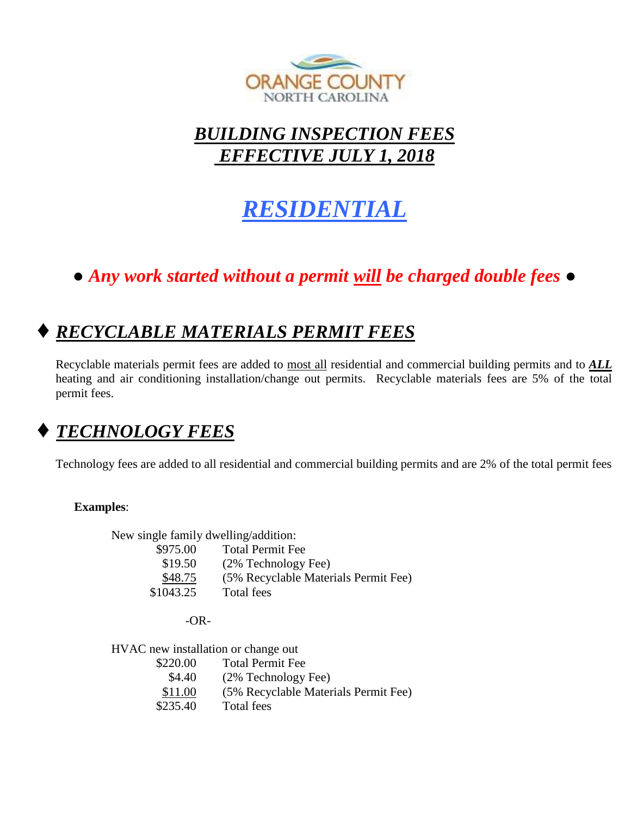

## *BUILDING INSPECTION FEES EFFECTIVE JULY 1, 2018*

# *RESIDENTIAL*

# *● Any work started without a permit will be charged double fees ●*

# **♦** *RECYCLABLE MATERIALS PERMIT FEES*

Recyclable materials permit fees are added to most all residential and commercial building permits and to *ALL* heating and air conditioning installation/change out permits. Recyclable materials fees are 5% of the total permit fees.

# **♦** *TECHNOLOGY FEES*

Technology fees are added to all residential and commercial building permits and are 2% of the total permit fees

### **Examples**:

New single family dwelling/addition: \$975.00 Total Permit Fee

| \$19.50   | (2% Technology Fee)                  |
|-----------|--------------------------------------|
| \$48.75   | (5% Recyclable Materials Permit Fee) |
| \$1043.25 | Total fees                           |

-OR-

HVAC new installation or change out

\$220.00 Total Permit Fee \$4.40 (2% Technology Fee) \$11.00 (5% Recyclable Materials Permit Fee) \$235.40 Total fees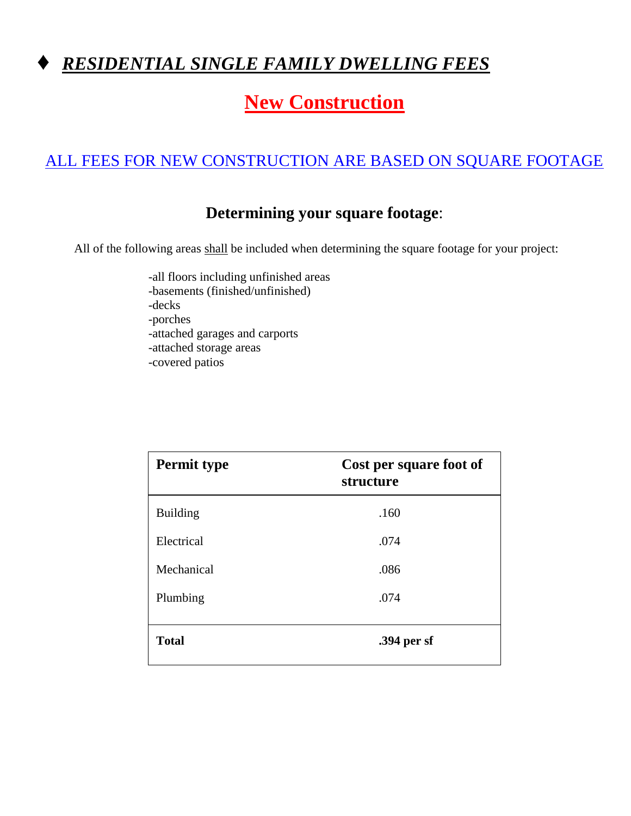

# **New Construction**

### ALL FEES FOR NEW CONSTRUCTION ARE BASED ON SQUARE FOOTAGE

### **Determining your square footage**:

All of the following areas shall be included when determining the square footage for your project:

-all floors including unfinished areas -basements (finished/unfinished) -decks -porches -attached garages and carports -attached storage areas -covered patios

| <b>Permit type</b> | Cost per square foot of<br>structure |
|--------------------|--------------------------------------|
| <b>Building</b>    | .160                                 |
| Electrical         | .074                                 |
| Mechanical         | .086                                 |
| Plumbing           | .074                                 |
| <b>Total</b>       | .394 per sf                          |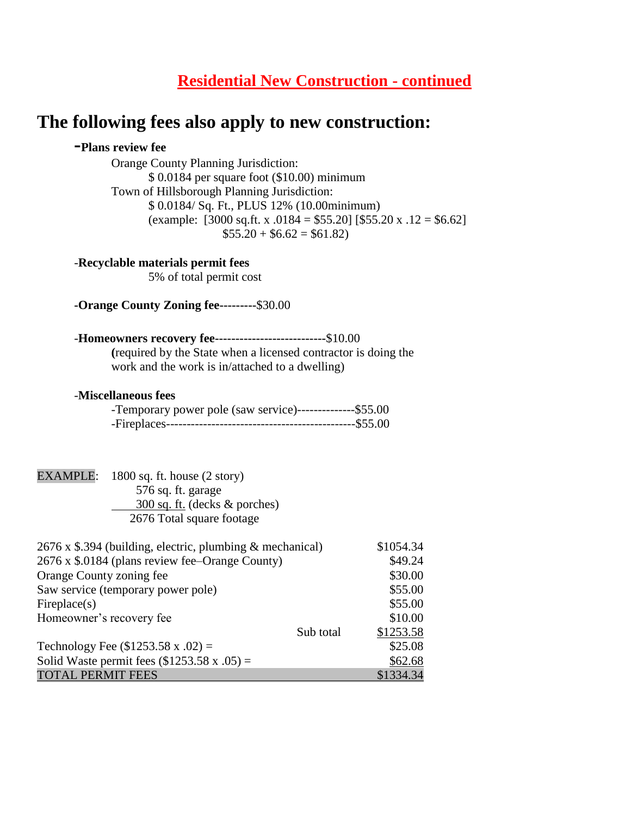### **Residential New Construction - continued**

### **The following fees also apply to new construction:**

#### **-Plans review fee**

Orange County Planning Jurisdiction: \$ 0.0184 per square foot (\$10.00) minimum Town of Hillsborough Planning Jurisdiction: \$ 0.0184/ Sq. Ft., PLUS 12% (10.00minimum) (example: [3000 sq.ft. x .0184 = \$55.20] [\$55.20 x .12 = \$6.62]  $$55.20 + $6.62 = $61.82$ 

#### -**Recyclable materials permit fees**

5% of total permit cost

**-Orange County Zoning fee---------**\$30.00

#### -**Homeowners recovery fee---------------------------**\$10.00

**(**required by the State when a licensed contractor is doing the work and the work is in/attached to a dwelling)

#### -**Miscellaneous fees**

| -Temporary power pole (saw service)---------------\$55.00 |  |
|-----------------------------------------------------------|--|
|                                                           |  |

### EXAMPLE: 1800 sq. ft. house (2 story)

 576 sq. ft. garage 300 sq. ft. (decks & porches) 2676 Total square footage

| $2676 \times$ \$.394 (building, electric, plumbing & mechanical) |           | \$1054.34 |
|------------------------------------------------------------------|-----------|-----------|
| 2676 x \$.0184 (plans review fee–Orange County)                  |           | \$49.24   |
| Orange County zoning fee                                         |           | \$30.00   |
| Saw service (temporary power pole)                               |           | \$55.00   |
| Fireplace(s)                                                     |           | \$55.00   |
| Homeowner's recovery fee                                         |           | \$10.00   |
|                                                                  | Sub total | \$1253.58 |
| Technology Fee $(\$1253.58 x .02) =$                             |           | \$25.08   |
| Solid Waste permit fees $(\$1253.58 \times .05) =$               |           | \$62.68   |
| <b>TOTAL PERMIT FEES</b>                                         |           | \$1334.34 |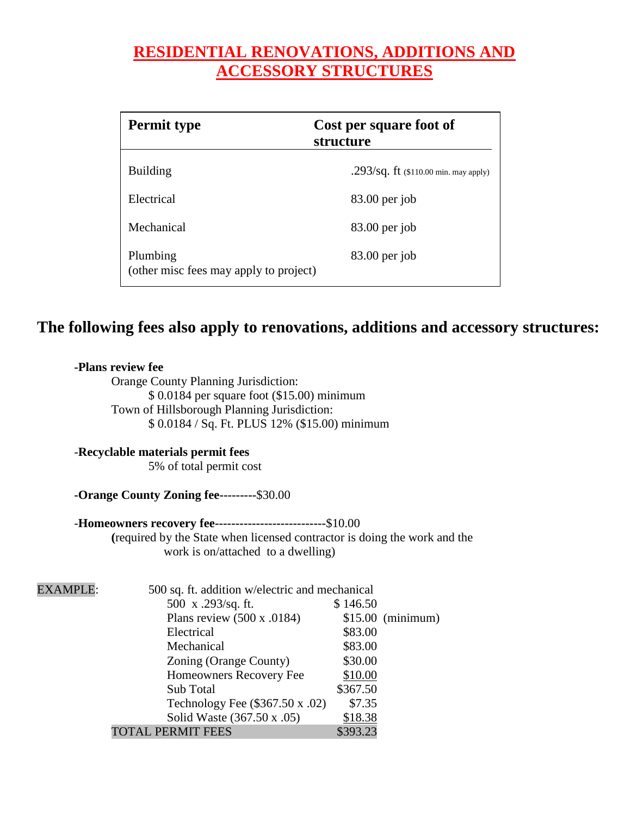### **RESIDENTIAL RENOVATIONS, ADDITIONS AND ACCESSORY STRUCTURES**

| <b>Permit type</b>                                 | Cost per square foot of<br>structure                  |
|----------------------------------------------------|-------------------------------------------------------|
| <b>Building</b>                                    | .293/sq. ft $(110.00 \text{ min.} \text{ may apply})$ |
| Electrical                                         | $83.00$ per job                                       |
| Mechanical                                         | $83.00$ per job                                       |
| Plumbing<br>(other misc fees may apply to project) | $83.00$ per job                                       |

### **The following fees also apply to renovations, additions and accessory structures:**

#### **-Plans review fee**

Orange County Planning Jurisdiction: \$ 0.0184 per square foot (\$15.00) minimum Town of Hillsborough Planning Jurisdiction: \$ 0.0184 / Sq. Ft. PLUS 12% (\$15.00) minimum

#### -**Recyclable materials permit fees**

5% of total permit cost

### **-Orange County Zoning fee---------**\$30.00

#### -**Homeowners recovery fee---------------------------**\$10.00

**(**required by the State when licensed contractor is doing the work and the work is on/attached to a dwelling)

| <b>EXAMPLE:</b> | 500 sq. ft. addition w/electric and mechanical |          |                    |
|-----------------|------------------------------------------------|----------|--------------------|
|                 | 500 x .293/sq. ft.                             | \$146.50 |                    |
|                 | Plans review $(500 \times .0184)$              |          | $$15.00$ (minimum) |
|                 | Electrical                                     | \$83.00  |                    |
|                 | Mechanical                                     | \$83.00  |                    |
|                 | Zoning (Orange County)                         | \$30.00  |                    |
|                 | Homeowners Recovery Fee                        | \$10.00  |                    |
|                 | Sub Total                                      | \$367.50 |                    |
|                 | Technology Fee $(\$367.50 \times .02)$         | \$7.35   |                    |
|                 | Solid Waste (367.50 x .05)                     | \$18.38  |                    |
|                 | <b>TOTAL PERMIT FEES</b>                       | \$393.23 |                    |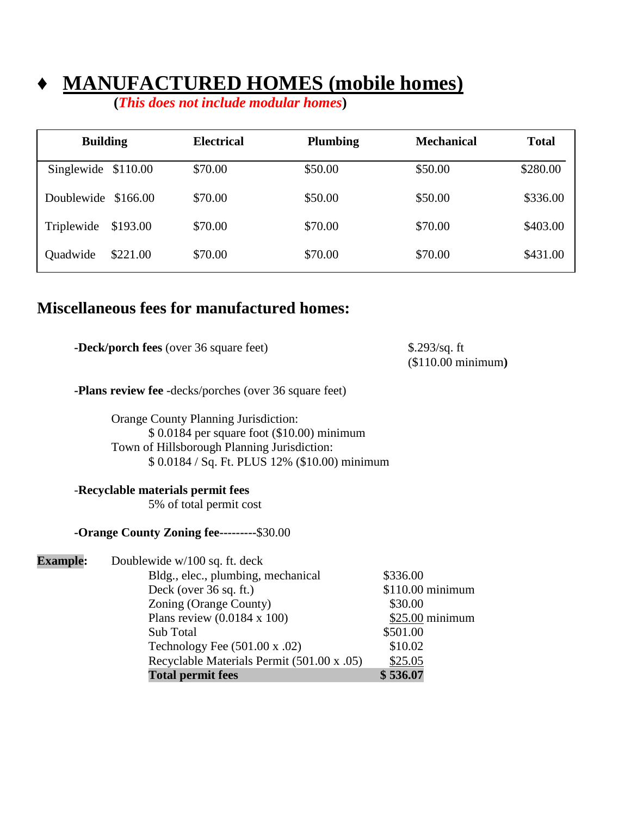# **MANUFACTURED HOMES (mobile homes)**

 **(***This does not include modular homes***)**

| <b>Building</b>     |          | Electrical | <b>Plumbing</b> | <b>Mechanical</b> | <b>Total</b> |
|---------------------|----------|------------|-----------------|-------------------|--------------|
| Singlewide \$110.00 |          | \$70.00    | \$50.00         | \$50.00           | \$280.00     |
| Doublewide \$166.00 |          | \$70.00    | \$50.00         | \$50.00           | \$336.00     |
| Triplewide          | \$193.00 | \$70.00    | \$70.00         | \$70.00           | \$403.00     |
| Quadwide            | \$221.00 | \$70.00    | \$70.00         | \$70.00           | \$431.00     |

### **Miscellaneous fees for manufactured homes:**

| <b>-Deck/porch fees</b> (over 36 square feet) | \$.293/sq. ft              |
|-----------------------------------------------|----------------------------|
|                                               | $($110.00\text{ minimum})$ |
|                                               |                            |

**-Plans review fee** -decks/porches (over 36 square feet)

Orange County Planning Jurisdiction: \$ 0.0184 per square foot (\$10.00) minimum Town of Hillsborough Planning Jurisdiction: \$ 0.0184 / Sq. Ft. PLUS 12% (\$10.00) minimum

#### -**Recyclable materials permit fees**

5% of total permit cost

#### **-Orange County Zoning fee---------**\$30.00

| <b>Example:</b> | Doublewide w/100 sq. ft. deck              |                  |
|-----------------|--------------------------------------------|------------------|
|                 | Bldg., elec., plumbing, mechanical         | \$336.00         |
|                 | Deck (over 36 sq. ft.)                     | \$110.00 minimum |
|                 | Zoning (Orange County)                     | \$30.00          |
|                 | Plans review $(0.0184 \times 100)$         | $$25.00$ minimum |
|                 | Sub Total                                  | \$501.00         |
|                 | Technology Fee $(501.00 \times .02)$       | \$10.02          |
|                 | Recyclable Materials Permit (501.00 x .05) | \$25.05          |
|                 | <b>Total permit fees</b>                   | \$536.07         |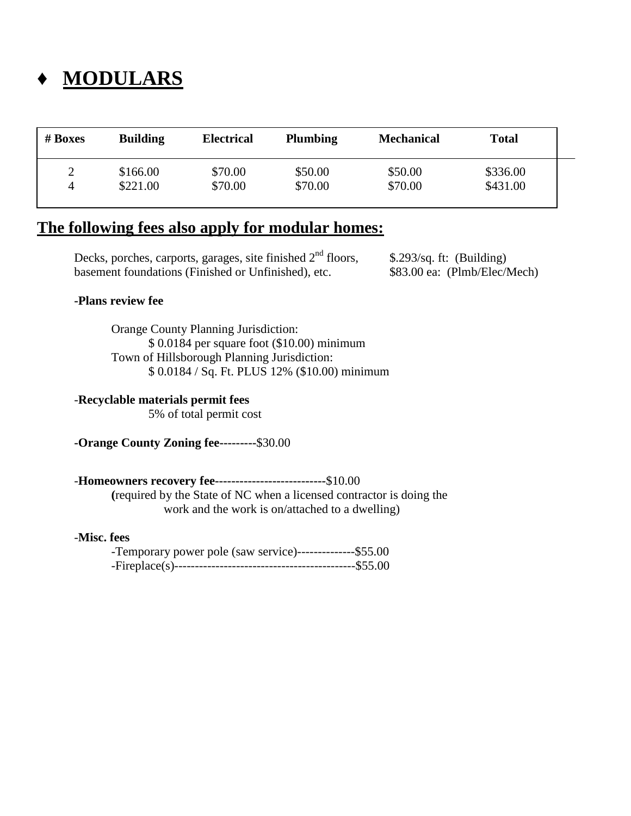# **♦ MODULARS**

| $# \, \mathbf{Boxes}$ | <b>Building</b> | <b>Electrical</b> | <b>Plumbing</b> | <b>Mechanical</b> | <b>Total</b> |  |
|-----------------------|-----------------|-------------------|-----------------|-------------------|--------------|--|
|                       | \$166.00        | \$70.00           | \$50.00         | \$50.00           | \$336.00     |  |
| 4                     | \$221.00        | \$70.00           | \$70.00         | \$70.00           | \$431.00     |  |

### **The following fees also apply for modular homes:**

Decks, porches, carports, garages, site finished  $2<sup>nd</sup>$  floors, \$.293/sq. ft: (Building) basement foundations (Finished or Unfinished), etc. \$83.00 ea: (Plmb/Elec/Mech)

#### **-Plans review fee**

Orange County Planning Jurisdiction: \$ 0.0184 per square foot (\$10.00) minimum Town of Hillsborough Planning Jurisdiction: \$ 0.0184 / Sq. Ft. PLUS 12% (\$10.00) minimum

#### -**Recyclable materials permit fees**

5% of total permit cost

**-Orange County Zoning fee---------**\$30.00

#### -**Homeowners recovery fee---------------------------**\$10.00

**(**required by the State of NC when a licensed contractor is doing the work and the work is on/attached to a dwelling)

#### -**Misc. fees**

| -Temporary power pole (saw service)---------------\$55.00 |  |
|-----------------------------------------------------------|--|
|                                                           |  |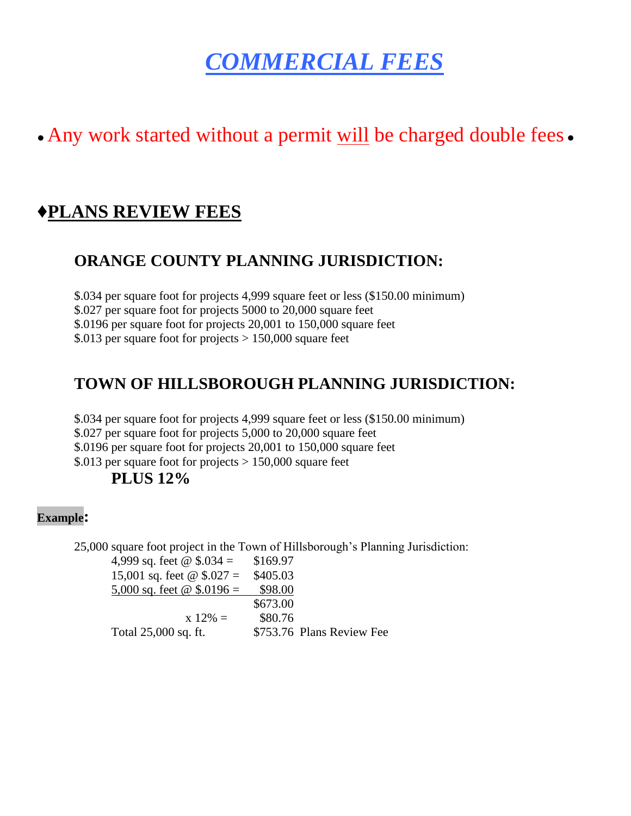# *COMMERCIAL FEES*

# • Any work started without a permit will be charged double fees •

### **♦PLANS REVIEW FEES**

### **ORANGE COUNTY PLANNING JURISDICTION:**

\$.034 per square foot for projects 4,999 square feet or less (\$150.00 minimum) \$.027 per square foot for projects 5000 to 20,000 square feet

\$.0196 per square foot for projects 20,001 to 150,000 square feet

\$.013 per square foot for projects > 150,000 square feet

### **TOWN OF HILLSBOROUGH PLANNING JURISDICTION:**

\$.034 per square foot for projects 4,999 square feet or less (\$150.00 minimum) \$.027 per square foot for projects 5,000 to 20,000 square feet \$.0196 per square foot for projects 20,001 to 150,000 square feet \$.013 per square foot for projects  $> 150,000$  square feet **PLUS 12%**

### **Example:**

25,000 square foot project in the Town of Hillsborough's Planning Jurisdiction:

| 4,999 sq. feet @ $$.034 =$        | \$169.97                  |
|-----------------------------------|---------------------------|
| 15,001 sq. feet $\omega$ \$.027 = | \$405.03                  |
| 5,000 sq. feet $\omega$ \$.0196 = | \$98.00                   |
|                                   | \$673.00                  |
| $x 12\% =$                        | \$80.76                   |
| Total 25,000 sq. ft.              | \$753.76 Plans Review Fee |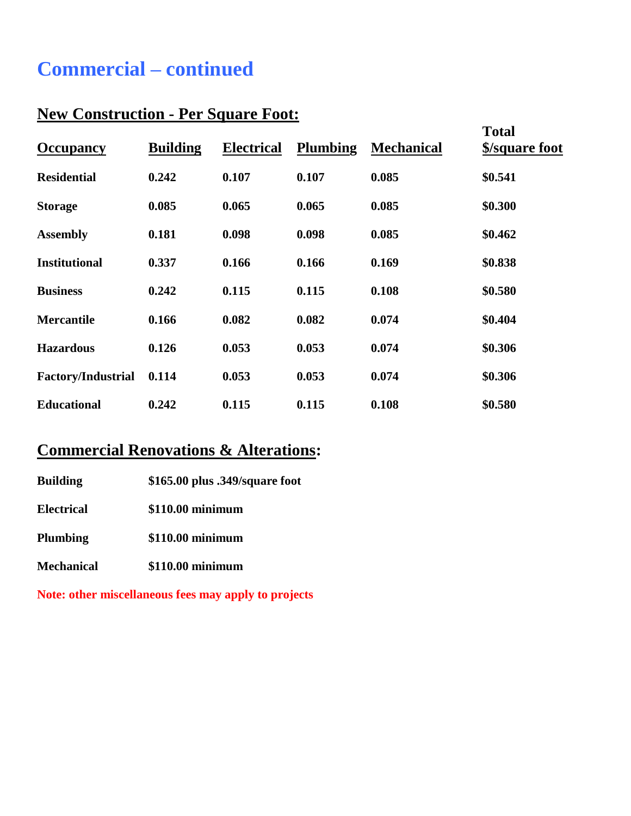# **Commercial – continued**

### **New Construction - Per Square Foot:**

| <b>Occupancy</b>          | <b>Building</b> | <b>Electrical</b> | <b>Plumbing</b> | <b>Mechanical</b> | <b>Total</b><br>\$/square foot |
|---------------------------|-----------------|-------------------|-----------------|-------------------|--------------------------------|
| <b>Residential</b>        | 0.242           | 0.107             | 0.107           | 0.085             | \$0.541                        |
| <b>Storage</b>            | 0.085           | 0.065             | 0.065           | 0.085             | \$0.300                        |
| <b>Assembly</b>           | 0.181           | 0.098             | 0.098           | 0.085             | \$0.462                        |
| <b>Institutional</b>      | 0.337           | 0.166             | 0.166           | 0.169             | \$0.838                        |
| <b>Business</b>           | 0.242           | 0.115             | 0.115           | 0.108             | \$0.580                        |
| <b>Mercantile</b>         | 0.166           | 0.082             | 0.082           | 0.074             | \$0.404                        |
| <b>Hazardous</b>          | 0.126           | 0.053             | 0.053           | 0.074             | \$0.306                        |
| <b>Factory/Industrial</b> | 0.114           | 0.053             | 0.053           | 0.074             | \$0.306                        |
| <b>Educational</b>        | 0.242           | 0.115             | 0.115           | 0.108             | \$0.580                        |

### **Commercial Renovations & Alterations:**

| \$165.00 plus .349/square foot<br><b>Building</b> |  |
|---------------------------------------------------|--|
|---------------------------------------------------|--|

**Electrical \$110.00 minimum**

**Plumbing \$110.00 minimum**

**Mechanical \$110.00 minimum**

**Note: other miscellaneous fees may apply to projects**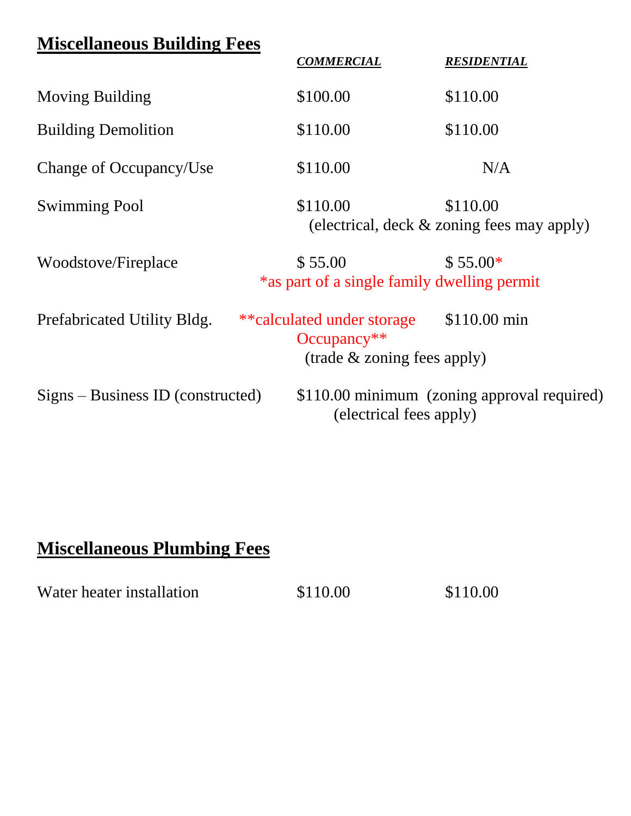| <b>Miscellaneous Building Fees</b>  |                                                                            |                                                        |
|-------------------------------------|----------------------------------------------------------------------------|--------------------------------------------------------|
|                                     | <b>COMMERCIAL</b>                                                          | <b>RESIDENTIAL</b>                                     |
| <b>Moving Building</b>              | \$100.00                                                                   | \$110.00                                               |
| <b>Building Demolition</b>          | \$110.00                                                                   | \$110.00                                               |
| Change of Occupancy/Use             | \$110.00                                                                   | N/A                                                    |
| <b>Swimming Pool</b>                | \$110.00                                                                   | \$110.00<br>(electrical, deck & zoning fees may apply) |
| Woodstove/Fireplace                 | \$55.00<br>*as part of a single family dwelling permit                     | $$55.00*$                                              |
| Prefabricated Utility Bldg.         | **calculated under storage<br>$Occupancy**$<br>(trade & zoning fees apply) | \$110.00 min                                           |
| $Signs - Business ID$ (constructed) | (electrical fees apply)                                                    | \$110.00 minimum (zoning approval required)            |

# **Miscellaneous Plumbing Fees**

| Water heater installation | \$110.00 | \$110.00 |
|---------------------------|----------|----------|
|---------------------------|----------|----------|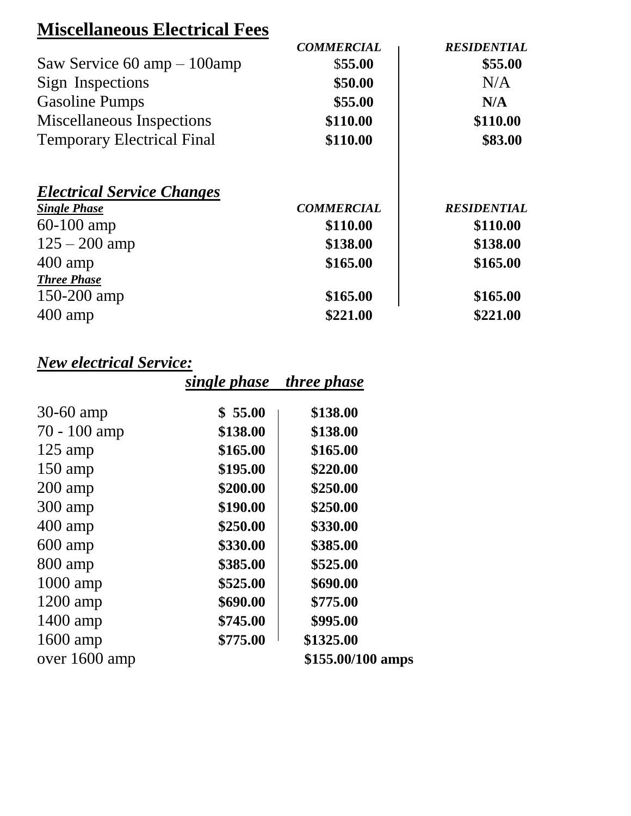# **Miscellaneous Electrical Fees**

|                                               | <b>COMMERCIAL</b> | <b>RESIDENTIAL</b> |
|-----------------------------------------------|-------------------|--------------------|
| Saw Service $60 \text{ amp} - 100 \text{amp}$ | \$55.00           | \$55.00            |
| Sign Inspections                              | \$50.00           | N/A                |
| <b>Gasoline Pumps</b>                         | \$55.00           | N/A                |
| Miscellaneous Inspections                     | \$110.00          | \$110.00           |
| <b>Temporary Electrical Final</b>             | \$110.00          | \$83.00            |
| <b>Electrical Service Changes</b>             |                   |                    |
| <b>Single Phase</b>                           | <b>COMMERCIAL</b> | <b>RESIDENTIAL</b> |
| $60-100$ amp                                  | \$110.00          | \$110.00           |
| $125 - 200$ amp                               | \$138.00          | \$138.00           |
| $400 \text{ amp}$                             | \$165.00          | \$165.00           |
| <b>Three Phase</b>                            |                   |                    |
| $150 - 200$ amp                               | \$165.00          | \$165.00           |
| $400 \text{ amp}$                             | \$221.00          | \$221.00           |

# *New electrical Service:*

|                   | single phase | <i>three phase</i> |
|-------------------|--------------|--------------------|
| 30-60 amp         | \$55.00      | \$138.00           |
| $70 - 100$ amp    | \$138.00     | \$138.00           |
| $125$ amp         | \$165.00     | \$165.00           |
| $150$ amp         | \$195.00     | \$220.00           |
| $200 \text{ amp}$ | \$200.00     | \$250.00           |
| $300$ amp         | \$190.00     | \$250.00           |
| 400 amp           | \$250.00     | \$330.00           |
| $600$ amp         | \$330.00     | \$385.00           |
| 800 amp           | \$385.00     | \$525.00           |
| $1000$ amp        | \$525.00     | \$690.00           |
| $1200$ amp        | \$690.00     | \$775.00           |
| $1400$ amp        | \$745.00     | \$995.00           |
| 1600 amp          | \$775.00     | \$1325.00          |
| over 1600 amp     |              | \$155.00/100 amps  |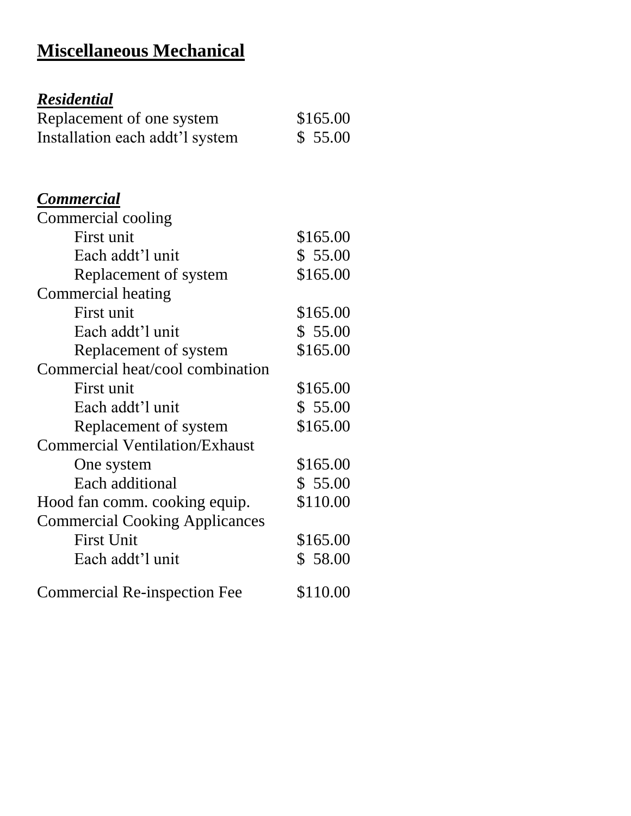# **Miscellaneous Mechanical**

# *Residential*

| Replacement of one system       | \$165.00 |
|---------------------------------|----------|
| Installation each addt'l system | \$55.00  |

### *Commercial*

| Commercial cooling                    |          |
|---------------------------------------|----------|
| First unit                            | \$165.00 |
| Each addt'l unit                      | \$55.00  |
| Replacement of system                 | \$165.00 |
| Commercial heating                    |          |
| First unit                            | \$165.00 |
| Each addt'l unit                      | \$55.00  |
| Replacement of system                 | \$165.00 |
| Commercial heat/cool combination      |          |
| First unit                            | \$165.00 |
| Each addt'l unit                      | \$55.00  |
| Replacement of system                 | \$165.00 |
| <b>Commercial Ventilation/Exhaust</b> |          |
| One system                            | \$165.00 |
| Each additional                       | \$55.00  |
| Hood fan comm. cooking equip.         | \$110.00 |
| <b>Commercial Cooking Applicances</b> |          |
| <b>First Unit</b>                     | \$165.00 |
| Each addt'l unit                      | \$58.00  |
| <b>Commercial Re-inspection Fee</b>   | \$110.00 |